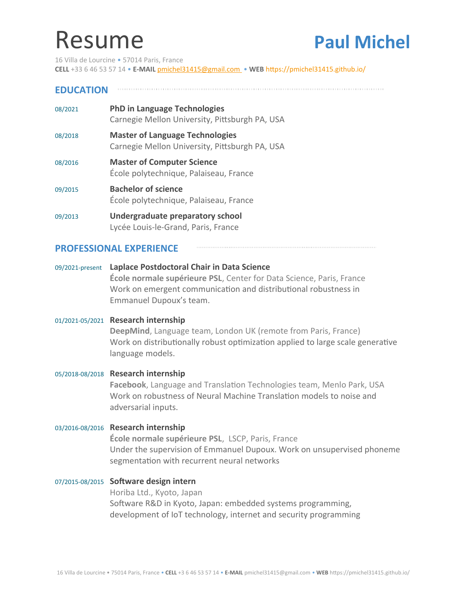# Resume **Paul Michel**

16 Villa de Lourcine • 57014 Paris, France **CELL** +33 6 46 53 57 14 • **E-MAIL** [pmichel31415@gmail.com](mailto:pmichel31415@gmail.com) • **WEB** <https://pmichel31415.github.io/>

## **EDUCATION**

| 08/2021 | <b>PhD in Language Technologies</b><br>Carnegie Mellon University, Pittsburgh PA, USA    |
|---------|------------------------------------------------------------------------------------------|
| 08/2018 | <b>Master of Language Technologies</b><br>Carnegie Mellon University, Pittsburgh PA, USA |
| 08/2016 | <b>Master of Computer Science</b><br>École polytechnique, Palaiseau, France              |
| 09/2015 | <b>Bachelor of science</b><br>École polytechnique, Palaiseau, France                     |
| 09/2013 | Undergraduate preparatory school<br>Lycée Louis-le-Grand, Paris, France                  |

#### **PROFESSIONAL EXPERIENCE**

#### 09/2021-present **Laplace Postdoctoral Chair in Data Science**

**École normale supérieure PSL**, Center for Data Science, Paris, France Work on emergent communication and distributional robustness in Emmanuel Dupoux's team.

#### 01/2021-05/2021 **Research internship**

**DeepMind**, Language team, London UK (remote from Paris, France) Work on distributionally robust optimization applied to large scale generative language models.

# 05/2018-08/2018 **Research internship**

**Facebook**, Language and Translation Technologies team, Menlo Park, USA Work on robustness of Neural Machine Translation models to noise and adversarial inputs.

#### 03/2016-08/2016 **Research internship**

**École normale supérieure PSL**, LSCP, Paris, France Under the supervision of Emmanuel Dupoux. Work on unsupervised phoneme segmentation with recurrent neural networks

### 07/2015-08/2015 **Software design intern**

Horiba Ltd., Kyoto, Japan Software R&D in Kyoto, Japan: embedded systems programming, development of IoT technology, internet and security programming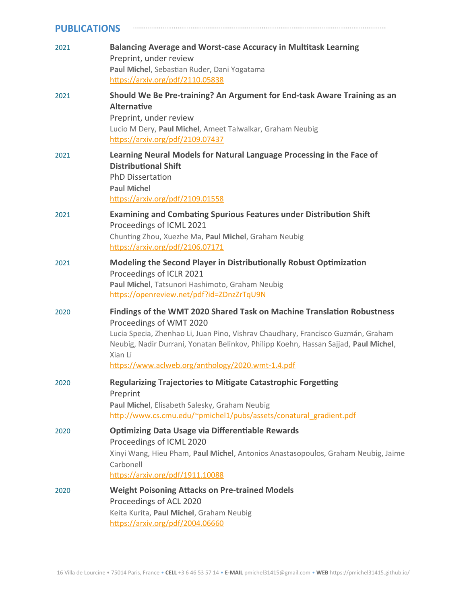| <b>PUBLICATIONS</b> |                                                                                                                                                                                                                                                                                                                                              |  |
|---------------------|----------------------------------------------------------------------------------------------------------------------------------------------------------------------------------------------------------------------------------------------------------------------------------------------------------------------------------------------|--|
| 2021                | <b>Balancing Average and Worst-case Accuracy in Multitask Learning</b><br>Preprint, under review<br>Paul Michel, Sebastian Ruder, Dani Yogatama<br>https://arxiv.org/pdf/2110.05838                                                                                                                                                          |  |
| 2021                | Should We Be Pre-training? An Argument for End-task Aware Training as an<br><b>Alternative</b><br>Preprint, under review<br>Lucio M Dery, Paul Michel, Ameet Talwalkar, Graham Neubig<br>https://arxiv.org/pdf/2109.07437                                                                                                                    |  |
| 2021                | Learning Neural Models for Natural Language Processing in the Face of<br><b>Distributional Shift</b><br><b>PhD Dissertation</b><br><b>Paul Michel</b><br>https://arxiv.org/pdf/2109.01558                                                                                                                                                    |  |
| 2021                | <b>Examining and Combating Spurious Features under Distribution Shift</b><br>Proceedings of ICML 2021<br>Chunting Zhou, Xuezhe Ma, Paul Michel, Graham Neubig<br>https://arxiv.org/pdf/2106.07171                                                                                                                                            |  |
| 2021                | Modeling the Second Player in Distributionally Robust Optimization<br>Proceedings of ICLR 2021<br>Paul Michel, Tatsunori Hashimoto, Graham Neubig<br>https://openreview.net/pdf?id=ZDnzZrTqU9N                                                                                                                                               |  |
| 2020                | Findings of the WMT 2020 Shared Task on Machine Translation Robustness<br>Proceedings of WMT 2020<br>Lucia Specia, Zhenhao Li, Juan Pino, Vishrav Chaudhary, Francisco Guzmán, Graham<br>Neubig, Nadir Durrani, Yonatan Belinkov, Philipp Koehn, Hassan Sajjad, Paul Michel,<br>Xian Li<br>https://www.aclweb.org/anthology/2020.wmt-1.4.pdf |  |
| 2020                | <b>Regularizing Trajectories to Mitigate Catastrophic Forgetting</b><br>Preprint<br>Paul Michel, Elisabeth Salesky, Graham Neubig<br>http://www.cs.cmu.edu/~pmichel1/pubs/assets/conatural gradient.pdf                                                                                                                                      |  |
| 2020                | <b>Optimizing Data Usage via Differentiable Rewards</b><br>Proceedings of ICML 2020<br>Xinyi Wang, Hieu Pham, Paul Michel, Antonios Anastasopoulos, Graham Neubig, Jaime<br>Carbonell<br>https://arxiv.org/pdf/1911.10088                                                                                                                    |  |
| 2020                | <b>Weight Poisoning Attacks on Pre-trained Models</b><br>Proceedings of ACL 2020<br>Keita Kurita, Paul Michel, Graham Neubig<br>https://arxiv.org/pdf/2004.06660                                                                                                                                                                             |  |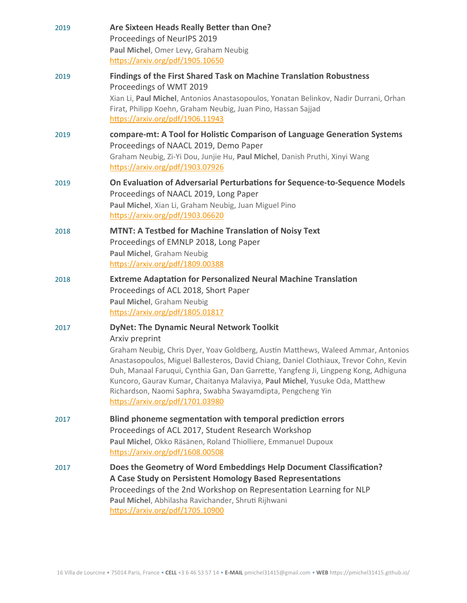| 2019 | Are Sixteen Heads Really Better than One?<br>Proceedings of NeurlPS 2019<br>Paul Michel, Omer Levy, Graham Neubig<br>https://arxiv.org/pdf/1905.10650                                                                                                                                                                                                                                                                                                                                   |
|------|-----------------------------------------------------------------------------------------------------------------------------------------------------------------------------------------------------------------------------------------------------------------------------------------------------------------------------------------------------------------------------------------------------------------------------------------------------------------------------------------|
| 2019 | <b>Findings of the First Shared Task on Machine Translation Robustness</b><br>Proceedings of WMT 2019<br>Xian Li, Paul Michel, Antonios Anastasopoulos, Yonatan Belinkov, Nadir Durrani, Orhan<br>Firat, Philipp Koehn, Graham Neubig, Juan Pino, Hassan Sajjad<br>https://arxiv.org/pdf/1906.11943                                                                                                                                                                                     |
| 2019 | compare-mt: A Tool for Holistic Comparison of Language Generation Systems<br>Proceedings of NAACL 2019, Demo Paper<br>Graham Neubig, Zi-Yi Dou, Junjie Hu, Paul Michel, Danish Pruthi, Xinyi Wang<br>https://arxiv.org/pdf/1903.07926                                                                                                                                                                                                                                                   |
| 2019 | On Evaluation of Adversarial Perturbations for Sequence-to-Sequence Models<br>Proceedings of NAACL 2019, Long Paper<br>Paul Michel, Xian Li, Graham Neubig, Juan Miguel Pino<br>https://arxiv.org/pdf/1903.06620                                                                                                                                                                                                                                                                        |
| 2018 | <b>MTNT: A Testbed for Machine Translation of Noisy Text</b><br>Proceedings of EMNLP 2018, Long Paper<br>Paul Michel, Graham Neubig<br>https://arxiv.org/pdf/1809.00388                                                                                                                                                                                                                                                                                                                 |
| 2018 | <b>Extreme Adaptation for Personalized Neural Machine Translation</b><br>Proceedings of ACL 2018, Short Paper<br>Paul Michel, Graham Neubig<br>https://arxiv.org/pdf/1805.01817                                                                                                                                                                                                                                                                                                         |
| 2017 | <b>DyNet: The Dynamic Neural Network Toolkit</b><br>Arxiv preprint<br>Graham Neubig, Chris Dyer, Yoav Goldberg, Austin Matthews, Waleed Ammar, Antonios<br>Anastasopoulos, Miguel Ballesteros, David Chiang, Daniel Clothiaux, Trevor Cohn, Kevin<br>Duh, Manaal Faruqui, Cynthia Gan, Dan Garrette, Yangfeng Ji, Lingpeng Kong, Adhiguna<br>Kuncoro, Gaurav Kumar, Chaitanya Malaviya, Paul Michel, Yusuke Oda, Matthew<br>Richardson, Naomi Saphra, Swabha Swayamdipta, Pengcheng Yin |
|      | https://arxiv.org/pdf/1701.03980                                                                                                                                                                                                                                                                                                                                                                                                                                                        |
| 2017 | Blind phoneme segmentation with temporal prediction errors<br>Proceedings of ACL 2017, Student Research Workshop<br>Paul Michel, Okko Räsänen, Roland Thiolliere, Emmanuel Dupoux<br>https://arxiv.org/pdf/1608.00508                                                                                                                                                                                                                                                                   |